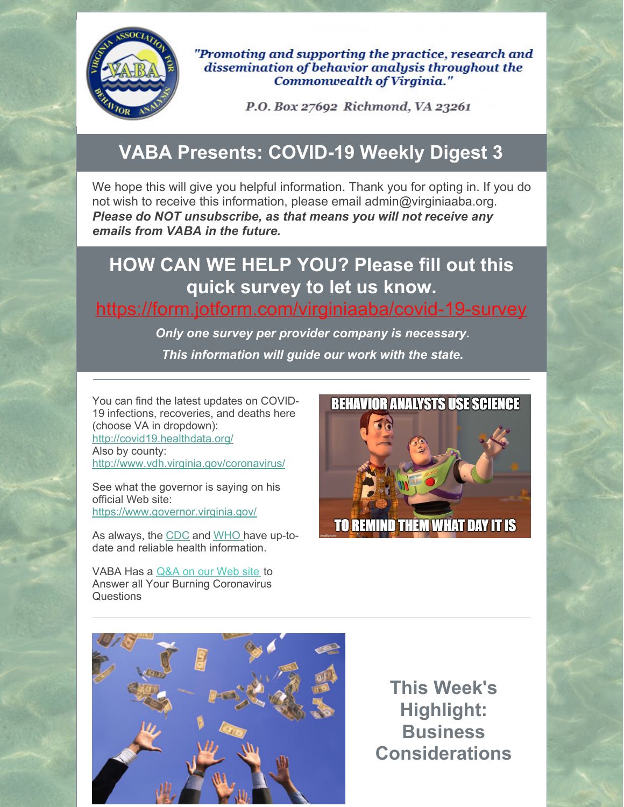

"Promoting and supporting the practice, research and dissemination of behavior analysis throughout the **Commonwealth of Virginia."** 

P.O. Box 27692 Richmond, VA 23261

### **VABA Presents: COVID-19 Weekly Digest 3**

We hope this will give you helpful information. Thank you for opting in. If you do not wish to receive this information, please email admin@virginiaaba.org. *Please do NOT unsubscribe, as that means you will not receive any emails from VABA in the future.*

## **HOW CAN WE HELP YOU? Please fill out this quick survey to let us know.**

#### <https://form.jotform.com/virginiaaba/covid-19-survey>

*Only one survey per provider company is necessary. This information will guide our work with the state.*

You can find the latest updates on COVID-19 infections, recoveries, and deaths here (choose VA in dropdown): <http://covid19.healthdata.org/> Also by county: <http://www.vdh.virginia.gov/coronavirus/>

See what the governor is saying on his official Web site: <https://www.governor.virginia.gov/>

As always, the [CDC](https://www.cdc.gov/coronavirus/2019-nCoV/index.html) and [WHO](https://www.who.int/emergencies/diseases/novel-coronavirus-2019) have up-todate and reliable health information.

VABA Has a [Q&A](https://www.virginiaaba.org/information-on-covid-19/) on our Web site to Answer all Your Burning Coronavirus **Questions** 





**This Week's Highlight: Business Considerations**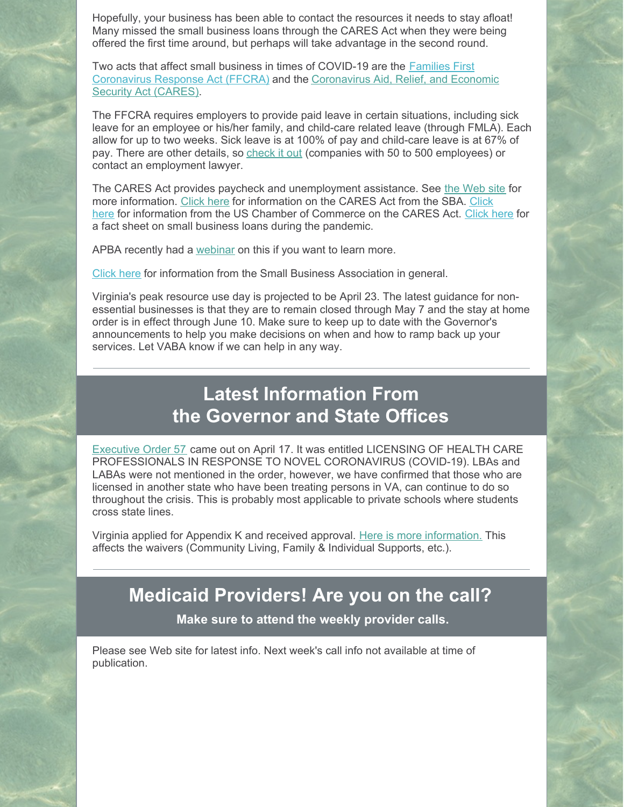Hopefully, your business has been able to contact the resources it needs to stay afloat! Many missed the small business loans through the CARES Act when they were being offered the first time around, but perhaps will take advantage in the second round.

Two acts that affect small business in times of COVID-19 are the Families First [Coronavirus](https://home.treasury.gov/policy-issues/cares) Response Act (FFCRA) and the Coronavirus Aid, Relief, and Economic Security Act (CARES).

The FFCRA requires employers to provide paid leave in certain situations, including sick leave for an employee or his/her family, and child-care related leave (through FMLA). Each allow for up to two weeks. Sick leave is at 100% of pay and child-care leave is at 67% of pay. There are other details, so [check](https://www.dol.gov/agencies/whd/pandemic/ffcra-employer-paid-leave) it out (companies with 50 to 500 employees) or contact an employment lawyer.

The CARES Act provides paycheck and unemployment assistance. See the [Web](https://home.treasury.gov/policy-issues/cares) site for more [information.](https://www.virginiaaba.org/wp-content/uploads/2020/04/US-Chamber-Loan-Info.pdf) [Click](https://www.virginiaaba.org/wp-content/uploads/2020/04/PPP-IFRN-FINAL-Highlighted-Version.pdf) here for information on the CARES Act from the SBA. Click here for information from the US Chamber of Commerce on the CARES Act. [Click](https://home.treasury.gov/system/files/136/PPP--Fact-Sheet.pdf) here for a fact sheet on small business loans during the pandemic.

APBA recently had a [webinar](https://www.apbahome.net/page/live-webinars) on this if you want to learn more.

[Click](https://www.sba.gov/) here for information from the Small Business Association in general.

Virginia's peak resource use day is projected to be April 23. The latest guidance for nonessential businesses is that they are to remain closed through May 7 and the stay at home order is in effect through June 10. Make sure to keep up to date with the Governor's announcements to help you make decisions on when and how to ramp back up your services. Let VABA know if we can help in any way.

## **Latest Information From the Governor and State Offices**

[Executive](https://www.governor.virginia.gov/media/governorvirginiagov/executive-actions/EO-57-Licensing-of-Health-Care-Professionals-in-Response-to-Novel-Coronavirus-(COVID-19).pdf) Order 57 came out on April 17. It was entitled LICENSING OF HEALTH CARE PROFESSIONALS IN RESPONSE TO NOVEL CORONAVIRUS (COVID-19). LBAs and LABAs were not mentioned in the order, however, we have confirmed that those who are licensed in another state who have been treating persons in VA, can continue to do so throughout the crisis. This is probably most applicable to private schools where students cross state lines.

Virginia applied for Appendix K and received approval. Here is more [information.](https://www.medicaid.gov/resources-for-states/disaster-response-toolkit/home-community-based-services-public-heath-emergencies/emergency-preparedness-and-response-for-home-and-community-based-hcbs-1915c-waivers/index.html) This affects the waivers (Community Living, Family & Individual Supports, etc.).

### **Medicaid Providers! Are you on the call?**

**Make sure to attend the weekly provider calls.**

Please see Web site for latest info. Next week's call info not available at time of publication.